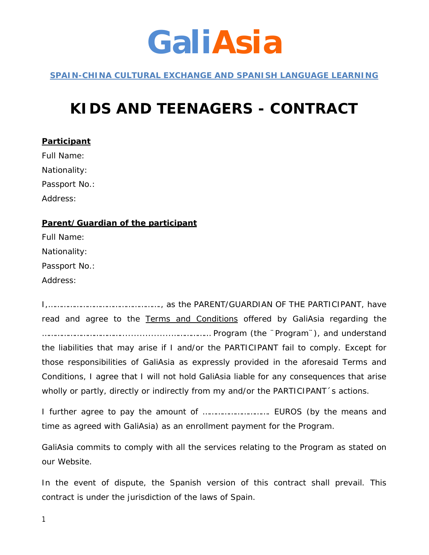## **GaliAsia**

*SPAIN-CHINA CULTURAL EXCHANGE AND SPANISH LANGUAGE LEARNING*

## **KIDS AND TEENAGERS - CONTRACT**

**Participant** Full Name: Nationality: Passport No.: Address: **Parent/Guardian of the participant** Full Name:

Nationality:

Passport No.:

Address:

I,……………………………………………., as the PARENT/GUARDIAN OF THE PARTICIPANT, have read and agree to the Terms and Conditions offered by GaliAsia regarding the ………………………………..................……………… Program (the ¨Program¨), and understand the liabilities that may arise if I and/or the PARTICIPANT fail to comply. Except for those responsibilities of GaliAsia as expressly provided in the aforesaid Terms and Conditions, I agree that I will not hold GaliAsia liable for any consequences that arise wholly or partly, directly or indirectly from my and/or the PARTICIPANT's actions.

I further agree to pay the amount of …………………………. EUROS (by the means and time as agreed with GaliAsia) as an enrollment payment for the Program.

GaliAsia commits to comply with all the services relating to the Program as stated on our Website.

In the event of dispute, the Spanish version of this contract shall prevail. This contract is under the jurisdiction of the laws of Spain.